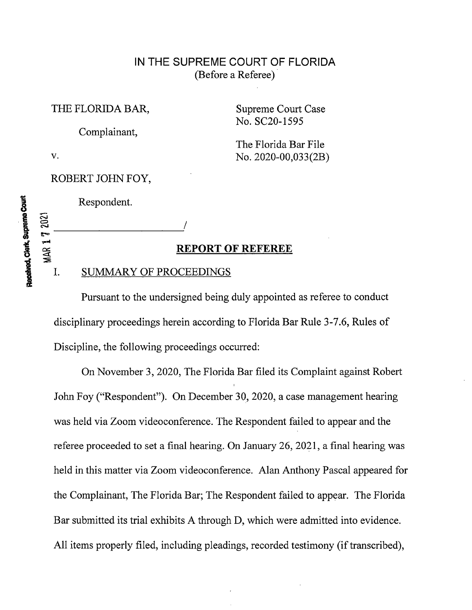### IN THE SUPREME COURT OF FLORIDA (Before a Referee)

THE FLORIDA BAR, Supreme Court Case

Complainant,

No. SC20-1595

The Florida Bar File v. No. 2020-00,033(2B)

ROBERT JOHN FOY,

Received, Clerk, Supreme Count

# Respondent.

#### REPORT OF REFEREE

#### I. SUMMARY OF PROCEEDINGS

Pursuant to the undersigned being duly appointed as referee to conduct disciplinary proceedings herein according to Florida Bar Rule 3-7.6, Rules of Discipline, the following proceedings occurred:

On November 3, 2020, The Florida Bar filed its Complaint against Robert John Foy ("Respondent"). On December 30, 2020, a case management hearing was held via Zoom videoconference. The Respondent failed to appear and the referee proceeded to set a final hearing. On January 26, 2021, a final hearing was held in this matter via Zoom videoconference. Alan Anthony Pascal appeared for the Complainant, The Florida Bar; The Respondent failed to appear. The Florida Bar submitted its trial exhibits A through D, which were admitted into evidence. All items properly filed, including pleadings, recorded testimony (if transcribed),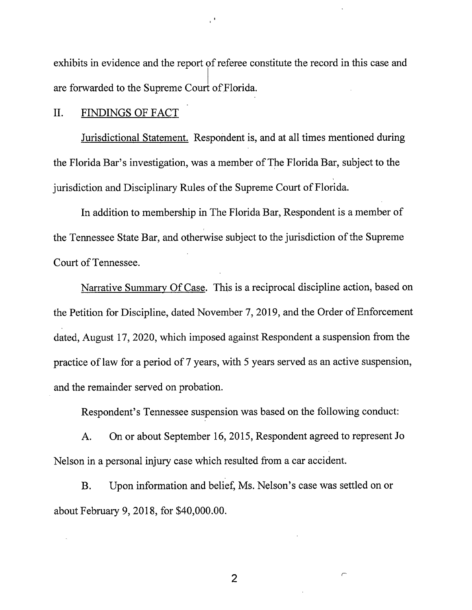exhibits in evidence and the report of referee constitute the record in this case and are forwarded to the Supreme Court ofFlorida.

#### II. FINDINGS OF FACT

Jurisdictional Statement. Respondent is, and at all times mentioned during the Florida Bar's investigation, was a member of The Florida Bar, subject to the jurisdiction and Disciplinary Rules of the Supreme Court of Florida.

In addition to membership in The Florida Bar, Respondent is <sup>a</sup> member of the Tennessee State Bar, and otherwise subject to the jurisdiction of the Supreme Court of Tennessee.

Narrative Summary Of Case. This is <sup>a</sup> reciprocal discipline action, based on the Petition for Discipline, dated November 7, 2019, and the Order of Enforcement dated, August 17, 2020, which imposed against Respondent a suspension from the practice of law for a period of 7 years, with 5 years served as an active suspension, and the remainder served on probation.

Respondent's Tennessee suspension was based on the following conduct:

A. On or about September 16, 2015, Respondent agreed to represent Jo Nelson in a personal injury case which resulted from a car accident.

B. Upon information and belief, Ms. Nelson's case was settled on or about February 9, 2018, for \$40,000.00.

2

 $\sqrt{ }$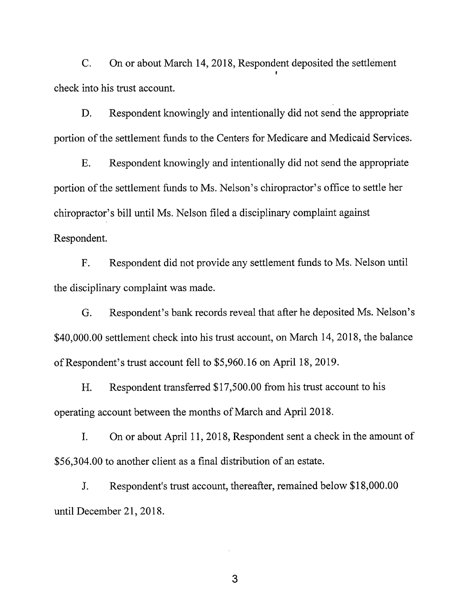C. On or about March 14, 2018, Respondent deposited the settlement check into his trust account.

D. Respondent knowingly and intentionally did not send the appropriate portion of the settlement funds to the Centers for Medicare and Medicaid Services.

E. Respondent knowingly and intentionally did not send the appropriate portion of the settlement funds to Ms. Nelson's chiropractor's office to settle her chiropractor's bill until Ms. Nelson filed <sup>a</sup> disciplinary complaint against Respondent.

F. Respondent did not provide any settlement funds to Ms. Nelson until the disciplinary complaint was made.

G. Respondent's bank records reveal that after he.deposited Ms. Nelson's \$40,000.00 settlement check into his trust account, on March 14, 2018, the balance ofRespondent's trust account fell to \$5,960.16 on April 18, 2019.

H. Respondent transferred \$17,500.00 from his trust account to his operating account between the months of March and April 2018.

I. On or about April 11, 2018, Respondent sent <sup>a</sup> check in the amount of \$56,304.00 to another client as <sup>a</sup> final distribution of an estate.

J. Respondent's trust account, thereafter, remained below \$18,000.00 until December 21, 2018.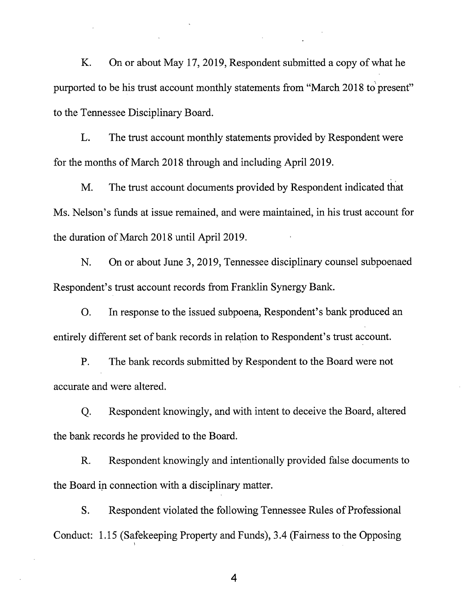K. On or about May 17, 2019, Respondent submitted a copy of what he purported to be his trust account monthly statements from "March 2018 to present" to the Tennessee Disciplinary Board.

L. The trust account monthly statements provided by Respondent were for the months of March 2018 through and including April 2019.

M. The trust account documents provided by Respondent indicated that Ms. Nelson's funds at issue remained, and were maintained, in his trust account for the duration of March 2018 until April 2019.

N. On or about June 3, 2019, Tennessee disciplinary counsel subpoenaed Respondent's trust account records from Franklin Synergy Bank.

O. In response to the issued subpoena, Respondent's bank produced an entirely different set of bank records in relation to Respondent's trust account.

P. The bank records submitted by Respondent to the Board were not accurate and were altered.

Q. Respondent knowingly, and with intent to deceive the Board, altered the bank records he provided to the Board.

R. Respondent knowingly and intentionally provided false documents to the Board in connection with a disciplinary matter.

S. Respondent violated the following Tennessee Rules of Professional Conduct: 1.15 (Safekeeping Property and Funds), 3.4 (Fairness to the Opposing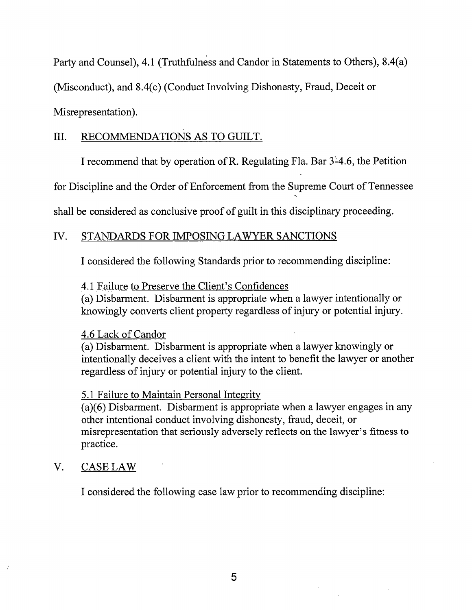Party and Counsel), 4.1 (Truthfulness and Candor in Statements to Others), 8.4(a)

(Misconduct), and 8.4(c) (Conduct Involving Dishonesty, Fraud, Deceit or

Misrepresentation).

# III. RECOMMENDATIONS AS TO GUILT.

I recommend that by operation of R. Regulating Fla. Bar  $3^2$ 4.6, the Petition

for Discipline and the Order of Enforcement from the Supreme Court of Tennessee

shall be considered as conclusive proof of guilt in this disciplinary proceeding.

# IV. STANDARDS FOR IMPOSING LAWYER SANCTIONS

I considered the following Standards prior to recommending discipline:

# 4.1 Failure to Preserve the Client's Confidences

(a) Disbarment. Disbarment is appropriate when a lawyer intentionally or knowingly converts client property regardless of injury or potential injury.

# 4.6 Lack of Candor

(a) Disbarment. Disbarment is appropriate when a lawyer knowingly or intentionally deceives a client with the intent to benefit the lawyer or another regardless of injury or potential injury to the client.

# 5.1 Failure to Maintain Personal Integrity

(a)(6) Disbarment. Disbarment is appropriate when a lawyer engages in any other intentional conduct involving dishonesty, fraud, deceit, or misrepresentation that seriously adversely reflects on the lawyer's fitness to practice.

# V. CASE LAW

I considered the following case law prior to recommending discipline: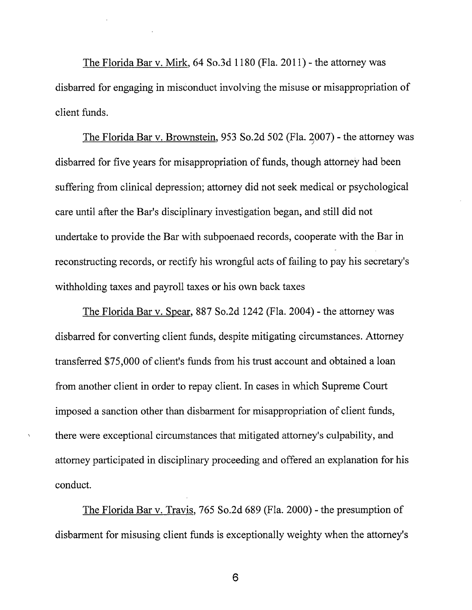The Florida Bar v. Mirk, 64 So.3d 1180 (Fla. 2011) - the attorney was disbarred for engaging in misconduct involving the misuse or misappropriation of client funds.

The Florida Bar v. Brownstein, 953 So.2d 502 (Fla. 2007) - the attorney was disbarred for five years for misappropriation of funds, though attorney had been suffering from clinical depression; attorney did not seek medical or psychological care until after the Bar's disciplinary investigation began, and still did not undertake to provide the Bar with subpoenaed records, cooperate with the Bar in reconstructing records, or rectify his wrongful acts of failing to pay his secretary's withholding taxes and payroll taxes or his own back taxes

The Florida Bar v. Spear, 887 So.2d 1242 (Fla. 2004) - the attorney was disbarred for converting client funds, despite mitigating circumstances. Attorney transferred \$75,000 of client's funds from his trust account and obtained <sup>a</sup> loan from another client in order to repay client. In cases in which Supreme Court imposed a sanction other than disbarment for misappropriation of client funds, there were exceptional circumstances that mitigated attorney's culpability, and attorney participated in disciplinary proceeding and offered an explanation for his conduct.

The Florida Bar v. Travis, 765 So.2d 689 (Fla. 2000) - the presumption of disbarment for misusing client funds is exceptionally weighty when the attorney's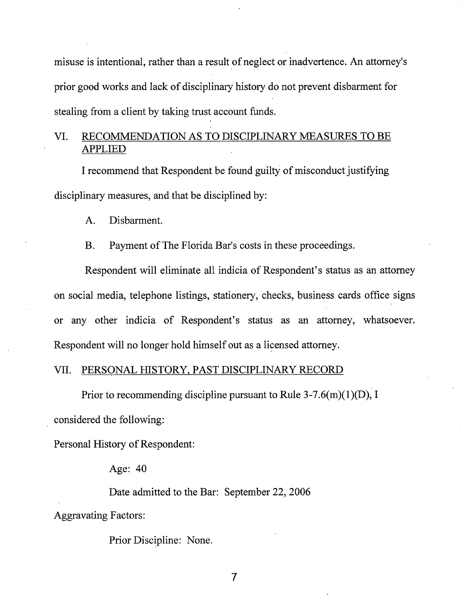misuse is intentional, rather than a result of neglect or inadvertence. An attorney's prior good works and lack of disciplinary history do not prevent disbarment for stealing from a client by taking trust account funds.

### VI. RECOMMENDATION AS TO DISCIPLINARY MEASURES TO BE APPLIED

I recommend that Respondent be found guilty of misconduct justifying disciplinary measures, and that be disciplined by:

A. Disbarment.

B. Payment of The Florida Bar's costs in these proceedings.

Respondent will eliminate all indicia of Respondent's status as an attorney on social media, telephone listings, stationery, checks, business cards office signs or any other indicia of Respondent's status as an attorney, whatsoever. Respondent will no longer hold himself out as a licensed attorney.

#### VII. PERSONAL HISTORY, PAST DISCIPLINARY RECORD

Prior to recommending discipline pursuant to Rule 3-7.6(m)(1)(D), I

considered the following:

Personal History of Respondent:

Age: 40

Date admitted to the Bar: September 22, 2006 Aggravating Factors:

Prior Discipline: None.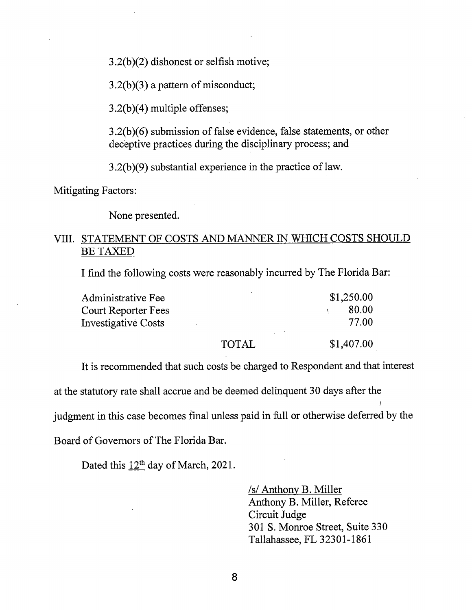3.2(b)(2) dishonest or selfish motive;

3.2(b)(3) a pattern of misconduct;

3.2(b)(4) multiple offenses;

3.2(b)(6) submission of false evidence, false statements, or other deceptive practices during the disciplinary process; and

 $3.2(b)(9)$  substantial experience in the practice of law.

Mitigating Factors:

None presented.

#### VIII. STATEMENT OF COSTS AND MANNER IN WHICH COSTS SHOULD BE TAXED

I find the following costs were reasonably incurred by The Florida Bar:

| Administrative Fee         |              | \$1,250.00 |
|----------------------------|--------------|------------|
| <b>Court Reporter Fees</b> |              | 80.00      |
| <b>Investigative Costs</b> |              | 77.00      |
|                            | <b>TOTAL</b> | \$1,407.00 |

It is recommended that such costs be charged to Respondent and that interest

at the statutory rate shall accrue and be deemed delinquent 30 days after the /

judgment in this case becomes final unless paid in full or otherwise deferred by the

Board of Governors of The Florida Bar.

Dated this  $12<sup>th</sup>$  day of March, 2021.

/s/ Anthony B. Miller Anthony B. Miller, Referee Circuit Judge 301 S. Monroe Street, Suite 330 Tallahassee, FL 32301-1861